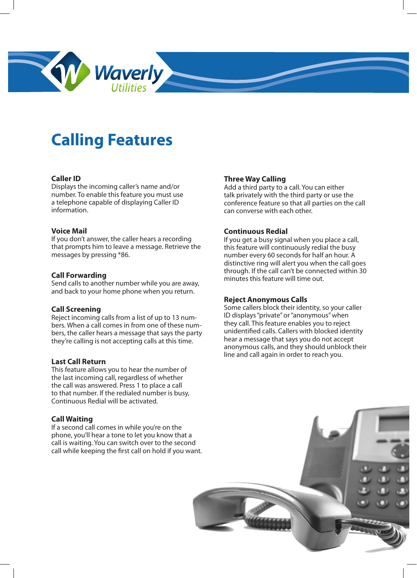

# **Calling Features**

#### **Caller ID**

Displays the incoming caller's name and/or number. To enable this feature you must use a telephone capable of displaying Caller ID information.

#### **Voice Mail**

If you don't answer, the caller hears a recording that prompts him to leave a message. Retrieve the messages by pressing \*86.

#### **Call Forwarding**

Send calls to another number while you are away, and back to your home phone when you return.

#### **Call Screening**

Reject incoming calls from a list of up to 13 numbers. When a call comes in from one of these numbers, the caller hears a message that says the party they're calling is not accepting calls at this time.

#### **Last Call Return**

This feature allows you to hear the number of the last incoming call, regardless of whether the call was answered. Press 1 to place a call to that number. If the redialed number is busy, Continuous Redial will be activated.

#### **Call Waiting**

If a second call comes in while you're on the phone, you'll hear a tone to let you know that a call is waiting. You can switch over to the second call while keeping the first call on hold if you want.

#### **Three Way Calling**

Add a third party to a call. You can either talk privately with the third party or use the conference feature so that all parties on the call can converse with each other.

#### **Continuous Redial**

If you get a busy signal when you place a call, this feature will continuously redial the busy number every 60 seconds for half an hour. A distinctive ring will alert you when the call goes through. If the call can't be connected within 30 minutes this feature will time out.

#### **Reject Anonymous Calls**

Some callers block their identity, so your caller ID displays "private" or "anonymous" when they call. This feature enables you to reject unidentified calls. Callers with blocked identity hear a message that says you do not accept anonymous calls, and they should unblock their line and call again in order to reach you.